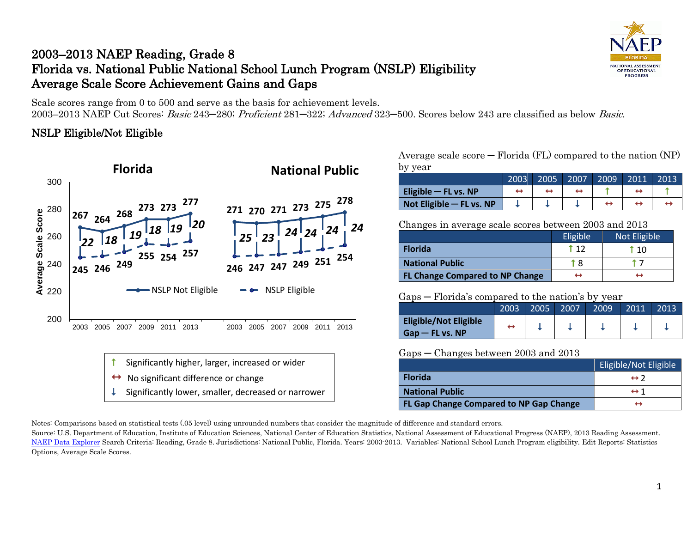# 2003–2013 NAEP Reading, Grade 8 Florida vs. National Public National School Lunch Program (NSLP) Eligibility Average Scale Score Achievement Gains and Gaps

Scale scores range from 0 to 500 and serve as the basis for achievement levels. 2003–2013 NAEP Cut Scores: Basic 243─280; Proficient 281─322; Advanced 323─500. Scores below 243 are classified as below Basic.

## NSLP Eligible/Not Eligible



Average scale score  $-$  Florida (FL) compared to the nation (NP) by year

|                            | 2003 | 2005 | 2007 | 2009 | 2011 | 2013 |
|----------------------------|------|------|------|------|------|------|
| Eligible $-$ FL vs. NP     |      |      |      |      |      |      |
| Not Eligible $-$ FL vs. NP |      |      |      |      |      |      |

Changes in average scale scores between 2003 and 2013

|                                        | Eligible | Not Eligible |
|----------------------------------------|----------|--------------|
| <b>Florida</b>                         | t 12     | 110          |
| <b>National Public</b>                 | 1 R      |              |
| <b>FL Change Compared to NP Change</b> |          |              |

#### Gaps ─ Florida's compared to the nation's by year

|                              | 2003 | 2005 | 2007 | 2009 | 2011 | 2013 |
|------------------------------|------|------|------|------|------|------|
| <b>Eligible/Not Eligible</b> |      |      |      |      |      |      |
| $G$ ap — FL vs. NP           |      |      |      |      |      |      |

#### Gaps ─ Changes between 2003 and 2013

|                                         | <b>Eligible/Not Eligible</b> |
|-----------------------------------------|------------------------------|
| <b>Florida</b>                          | $leftrightarrow$ 2           |
| <b>National Public</b>                  | $\leftrightarrow$ 1          |
| FL Gap Change Compared to NP Gap Change |                              |

Notes: Comparisons based on statistical tests (.05 level) using unrounded numbers that consider the magnitude of difference and standard errors.

Source: U.S. Department of Education, Institute of Education Sciences, National Center of Education Statistics, National Assessment of Educational Progress (NAEP), 2013 Reading Assessment. [NAEP Data Explorer](http://nces.ed.gov/nationsreportcard/naepdata/) Search Criteria: Reading, Grade 8. Jurisdictions: National Public, Florida. Years: 2003-2013. Variables: National School Lunch Program eligibility. Edit Reports: Statistics Options, Average Scale Scores.

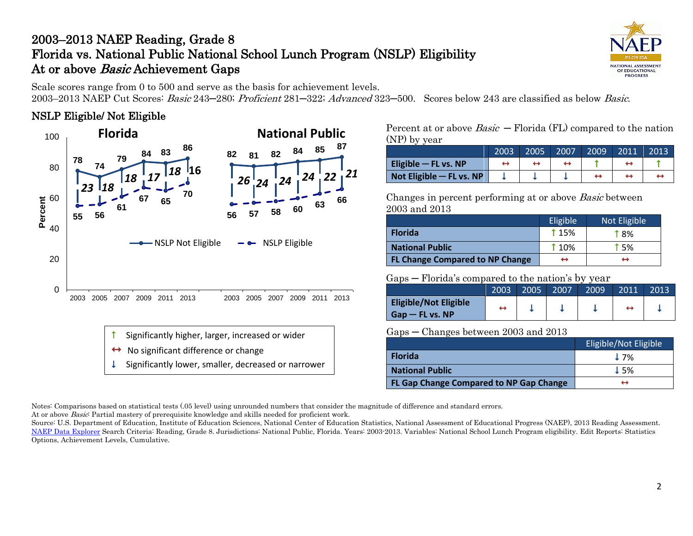# 2003–2013 NAEP Reading, Grade 8 Florida vs. National Public National School Lunch Program (NSLP) Eligibility At or above *Basic* Achievement Gaps



Scale scores range from 0 to 500 and serve as the basis for achievement levels.

2003–2013 NAEP Cut Scores: Basic 243─280; Proficient 281─322; Advanced 323─500. Scores below 243 are classified as below Basic.

## NSLP Eligible/ Not Eligible



Percent at or above  $Basic$  – Florida (FL) compared to the nation (NP) by year

|                          | 2003 | 2005 | 2007 | 2009 | 2011 | 2013 |
|--------------------------|------|------|------|------|------|------|
| Eligible $-$ FL vs. NP   |      |      |      |      |      |      |
| Not Eligible - FL vs. NP |      |      |      |      |      |      |

Changes in percent performing at or above Basic between 2003 and 2013

|                                        | Eligible    | Not Eligible |
|----------------------------------------|-------------|--------------|
| <b>Florida</b>                         | <b>115%</b> | <b>18%</b>   |
| <b>National Public</b>                 | <b>10%</b>  | † 5%         |
| <b>FL Change Compared to NP Change</b> | ↔           | ↔            |

### Gaps ─ Florida's compared to the nation's by year

|                                                    | 2003 | 2005 | 2007 | 2009 | 2011 | 2013 |
|----------------------------------------------------|------|------|------|------|------|------|
| <b>Eligible/Not Eligible</b><br>$G$ ap — FL vs. NP | ÷    |      |      |      |      |      |

### Gaps ─ Changes between 2003 and 2013

|                                                | Eligible/Not Eligible |
|------------------------------------------------|-----------------------|
| <b>Florida</b>                                 | $\perp$ 7%            |
| <b>National Public</b>                         | $\perp$ 5%            |
| <b>FL Gap Change Compared to NP Gap Change</b> | ↔                     |

Notes: Comparisons based on statistical tests (.05 level) using unrounded numbers that consider the magnitude of difference and standard errors. At or above *Basic*: Partial mastery of prerequisite knowledge and skills needed for proficient work.

Source: U.S. Department of Education, Institute of Education Sciences, National Center of Education Statistics, National Assessment of Educational Progress (NAEP), 2013 Reading Assessment. [NAEP Data Explorer](http://nces.ed.gov/nationsreportcard/naepdata/) Search Criteria: Reading, Grade 8. Jurisdictions: National Public, Florida. Years: 2003-2013. Variables: National School Lunch Program eligibility. Edit Reports: Statistics Options, Achievement Levels, Cumulative.